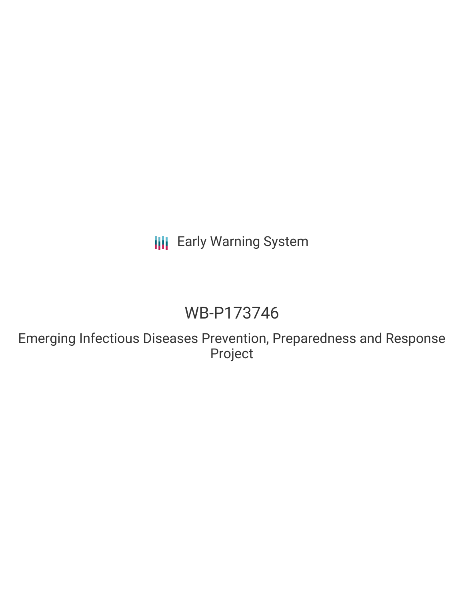## **III** Early Warning System

# WB-P173746

Emerging Infectious Diseases Prevention, Preparedness and Response Project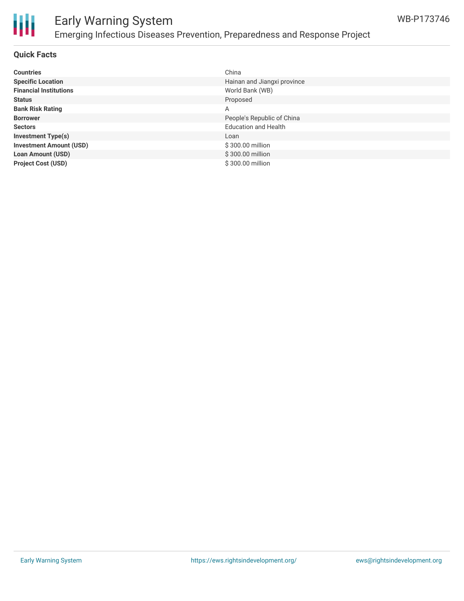

## Early Warning System Emerging Infectious Diseases Prevention, Preparedness and Response Project

#### **Quick Facts**

| <b>Countries</b>               | China                       |
|--------------------------------|-----------------------------|
| <b>Specific Location</b>       | Hainan and Jiangxi province |
| <b>Financial Institutions</b>  | World Bank (WB)             |
| <b>Status</b>                  | Proposed                    |
| <b>Bank Risk Rating</b>        | Α                           |
| <b>Borrower</b>                | People's Republic of China  |
| <b>Sectors</b>                 | <b>Education and Health</b> |
| <b>Investment Type(s)</b>      | Loan                        |
| <b>Investment Amount (USD)</b> | \$300.00 million            |
| <b>Loan Amount (USD)</b>       | \$300.00 million            |
| <b>Project Cost (USD)</b>      | \$300.00 million            |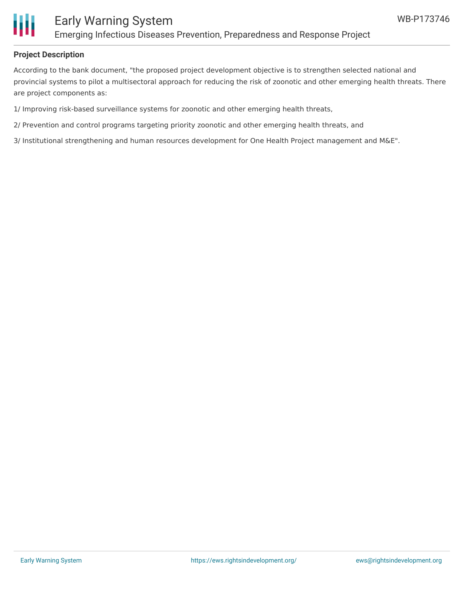

#### **Project Description**

According to the bank document, "the proposed project development objective is to strengthen selected national and provincial systems to pilot a multisectoral approach for reducing the risk of zoonotic and other emerging health threats. There are project components as:

1/ Improving risk-based surveillance systems for zoonotic and other emerging health threats,

2/ Prevention and control programs targeting priority zoonotic and other emerging health threats, and

3/ Institutional strengthening and human resources development for One Health Project management and M&E".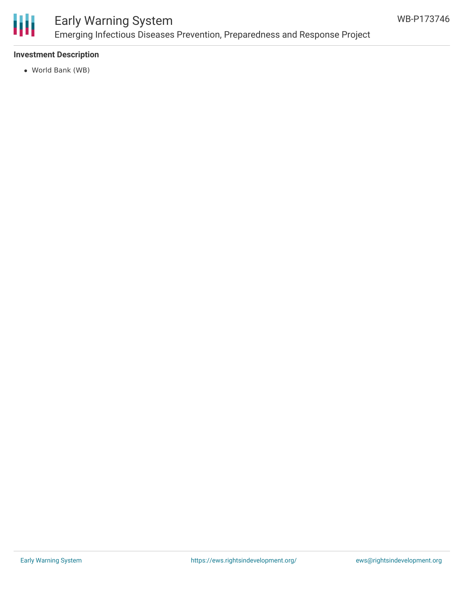

### Early Warning System Emerging Infectious Diseases Prevention, Preparedness and Response Project

#### **Investment Description**

World Bank (WB)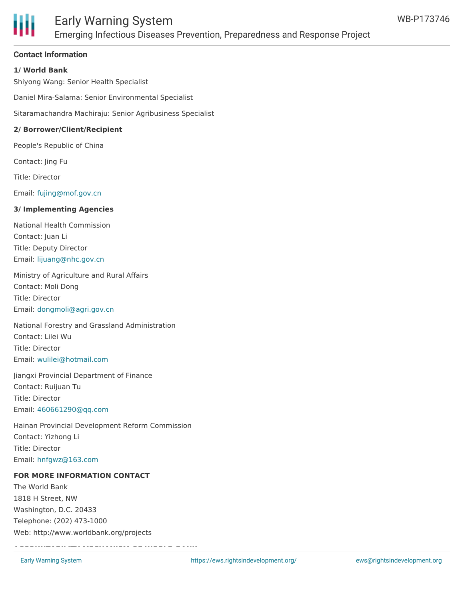

#### **Contact Information**

#### **1/ World Bank**

Shiyong Wang: Senior Health Specialist

Daniel Mira-Salama: Senior Environmental Specialist

Sitaramachandra Machiraju: Senior Agribusiness Specialist

#### **2/ Borrower/Client/Recipient**

People's Republic of China

Contact: Jing Fu

Title: Director

Email: [fujing@mof.gov.cn](mailto:fujing@mof.gov.cn)

#### **3/ Implementing Agencies**

National Health Commission Contact: Juan Li Title: Deputy Director Email: [lijuang@nhc.gov.cn](mailto:lijuang@nhc.gov.cn)

Ministry of Agriculture and Rural Affairs Contact: Moli Dong Title: Director Email: [dongmoli@agri.gov.cn](mailto:dongmoli@agri.gov.cn)

National Forestry and Grassland Administration Contact: Lilei Wu Title: Director Email: [wulilei@hotmail.com](mailto:wulilei@hotmail.com)

Jiangxi Provincial Department of Finance Contact: Ruijuan Tu Title: Director Email: [460661290@qq.com](mailto:460661290@qq.com)

Hainan Provincial Development Reform Commission Contact: Yizhong Li Title: Director Email: [hnfgwz@163.com](mailto:hnfgwz@163.com)

#### **FOR MORE INFORMATION CONTACT**

The World Bank 1818 H Street, NW Washington, D.C. 20433 Telephone: (202) 473-1000 Web: http://www.worldbank.org/projects

**ACCOUNTABILITY MECHANISM OF WORLD BANK**